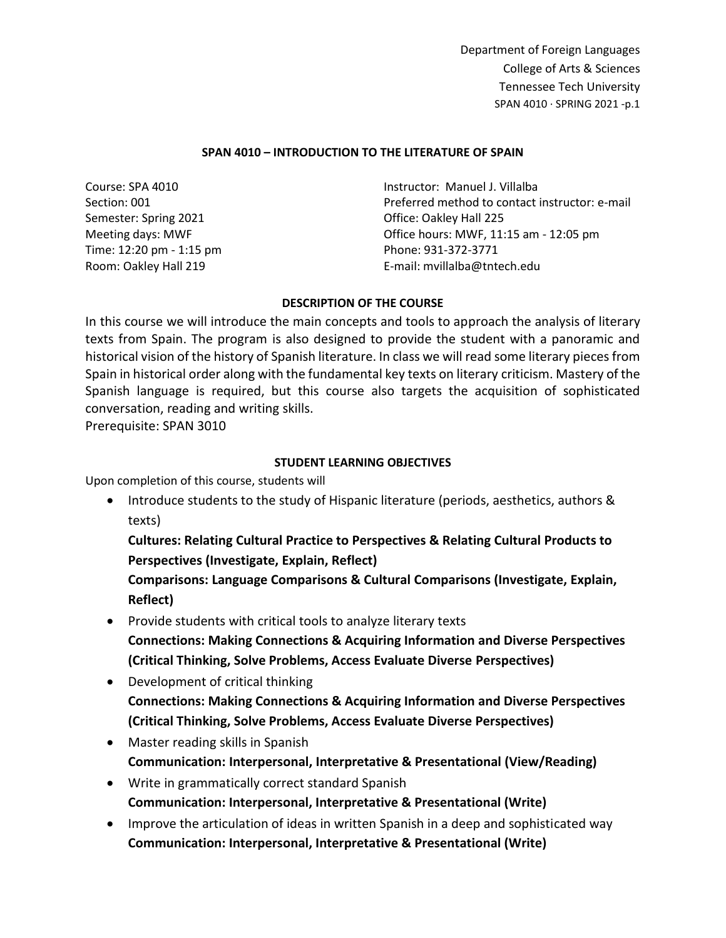## **SPAN 4010 – INTRODUCTION TO THE LITERATURE OF SPAIN**

| Course: SPA 4010         | Instructor: Manuel J. Villalba                 |
|--------------------------|------------------------------------------------|
| Section: 001             | Preferred method to contact instructor: e-mail |
| Semester: Spring 2021    | Office: Oakley Hall 225                        |
| Meeting days: MWF        | Office hours: MWF, 11:15 am - 12:05 pm         |
| Time: 12:20 pm - 1:15 pm | Phone: 931-372-3771                            |
| Room: Oakley Hall 219    | E-mail: mvillalba@tntech.edu                   |

## **DESCRIPTION OF THE COURSE**

In this course we will introduce the main concepts and tools to approach the analysis of literary texts from Spain. The program is also designed to provide the student with a panoramic and historical vision of the history of Spanish literature. In class we will read some literary pieces from Spain in historical order along with the fundamental key texts on literary criticism. Mastery of the Spanish language is required, but this course also targets the acquisition of sophisticated conversation, reading and writing skills.

Prerequisite: SPAN 3010

# **STUDENT LEARNING OBJECTIVES**

Upon completion of this course, students will

• Introduce students to the study of Hispanic literature (periods, aesthetics, authors & texts)

**Cultures: Relating Cultural Practice to Perspectives & Relating Cultural Products to Perspectives (Investigate, Explain, Reflect)**

**Comparisons: Language Comparisons & Cultural Comparisons (Investigate, Explain, Reflect)**

- Provide students with critical tools to analyze literary texts **Connections: Making Connections & Acquiring Information and Diverse Perspectives (Critical Thinking, Solve Problems, Access Evaluate Diverse Perspectives)**
- Development of critical thinking **Connections: Making Connections & Acquiring Information and Diverse Perspectives (Critical Thinking, Solve Problems, Access Evaluate Diverse Perspectives)**
- Master reading skills in Spanish **Communication: Interpersonal, Interpretative & Presentational (View/Reading)**
- Write in grammatically correct standard Spanish **Communication: Interpersonal, Interpretative & Presentational (Write)**
- Improve the articulation of ideas in written Spanish in a deep and sophisticated way **Communication: Interpersonal, Interpretative & Presentational (Write)**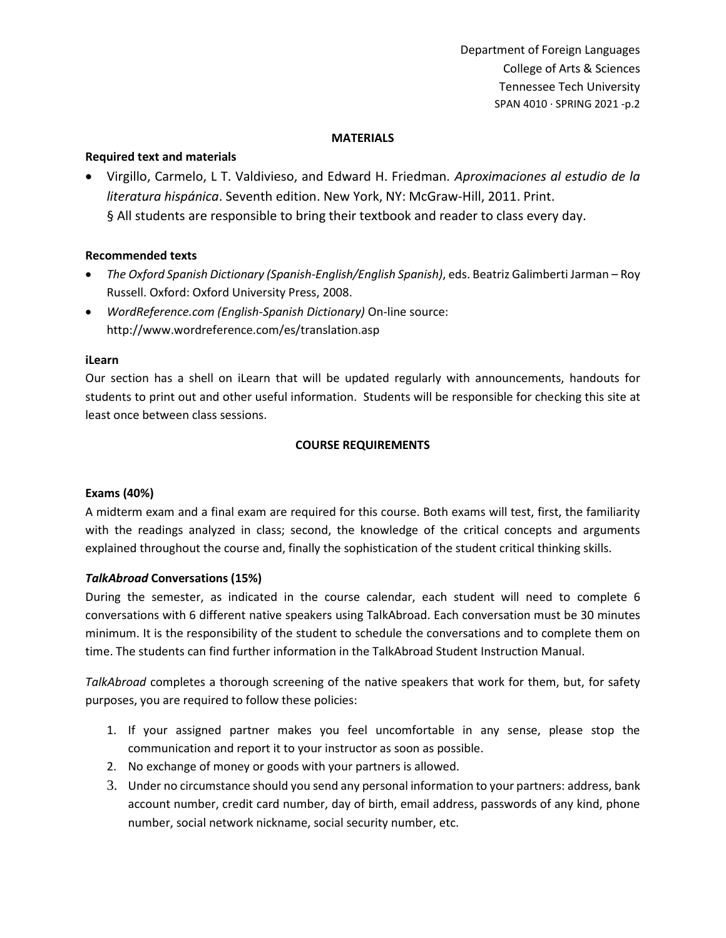### **MATERIALS**

## **Required text and materials**

• Virgillo, Carmelo, L T. Valdivieso, and Edward H. Friedman*. Aproximaciones al estudio de la literatura hispánica*. Seventh edition. New York, NY: McGraw-Hill, 2011. Print. § All students are responsible to bring their textbook and reader to class every day.

## **Recommended texts**

- *The Oxford Spanish Dictionary (Spanish-English/English Spanish)*, eds. Beatriz Galimberti Jarman Roy Russell. Oxford: Oxford University Press, 2008.
- *WordReference.com (English-Spanish Dictionary)* On-line source: http://www.wordreference.com/es/translation.asp

## **iLearn**

Our section has a shell on iLearn that will be updated regularly with announcements, handouts for students to print out and other useful information. Students will be responsible for checking this site at least once between class sessions.

# **COURSE REQUIREMENTS**

## **Exams (40%)**

A midterm exam and a final exam are required for this course. Both exams will test, first, the familiarity with the readings analyzed in class; second, the knowledge of the critical concepts and arguments explained throughout the course and, finally the sophistication of the student critical thinking skills.

## *TalkAbroad* **Conversations (15%)**

During the semester, as indicated in the course calendar, each student will need to complete 6 conversations with 6 different native speakers using TalkAbroad. Each conversation must be 30 minutes minimum. It is the responsibility of the student to schedule the conversations and to complete them on time. The students can find further information in the TalkAbroad Student Instruction Manual.

*TalkAbroad* completes a thorough screening of the native speakers that work for them, but, for safety purposes, you are required to follow these policies:

- 1. If your assigned partner makes you feel uncomfortable in any sense, please stop the communication and report it to your instructor as soon as possible.
- 2. No exchange of money or goods with your partners is allowed.
- 3. Under no circumstance should you send any personal information to your partners: address, bank account number, credit card number, day of birth, email address, passwords of any kind, phone number, social network nickname, social security number, etc.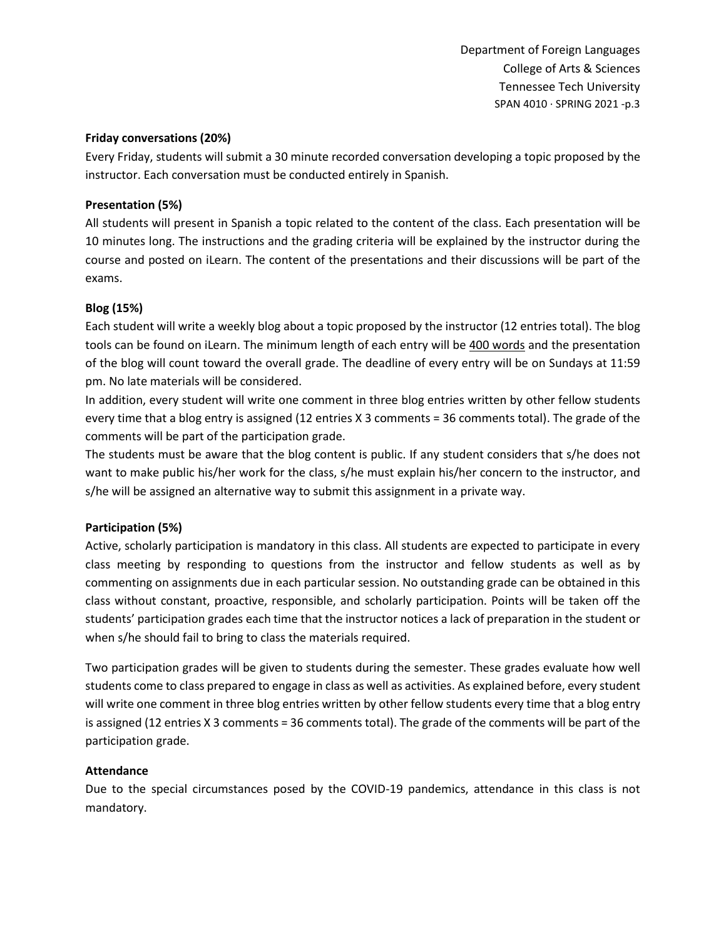### **Friday conversations (20%)**

Every Friday, students will submit a 30 minute recorded conversation developing a topic proposed by the instructor. Each conversation must be conducted entirely in Spanish.

## **Presentation (5%)**

All students will present in Spanish a topic related to the content of the class. Each presentation will be 10 minutes long. The instructions and the grading criteria will be explained by the instructor during the course and posted on iLearn. The content of the presentations and their discussions will be part of the exams.

# **Blog (15%)**

Each student will write a weekly blog about a topic proposed by the instructor (12 entries total). The blog tools can be found on iLearn. The minimum length of each entry will be 400 words and the presentation of the blog will count toward the overall grade. The deadline of every entry will be on Sundays at 11:59 pm. No late materials will be considered.

In addition, every student will write one comment in three blog entries written by other fellow students every time that a blog entry is assigned (12 entries X 3 comments = 36 comments total). The grade of the comments will be part of the participation grade.

The students must be aware that the blog content is public. If any student considers that s/he does not want to make public his/her work for the class, s/he must explain his/her concern to the instructor, and s/he will be assigned an alternative way to submit this assignment in a private way.

# **Participation (5%)**

Active, scholarly participation is mandatory in this class. All students are expected to participate in every class meeting by responding to questions from the instructor and fellow students as well as by commenting on assignments due in each particular session. No outstanding grade can be obtained in this class without constant, proactive, responsible, and scholarly participation. Points will be taken off the students' participation grades each time that the instructor notices a lack of preparation in the student or when s/he should fail to bring to class the materials required.

Two participation grades will be given to students during the semester. These grades evaluate how well students come to class prepared to engage in class as well as activities. As explained before, every student will write one comment in three blog entries written by other fellow students every time that a blog entry is assigned (12 entries X 3 comments = 36 comments total). The grade of the comments will be part of the participation grade.

## **Attendance**

Due to the special circumstances posed by the COVID-19 pandemics, attendance in this class is not mandatory.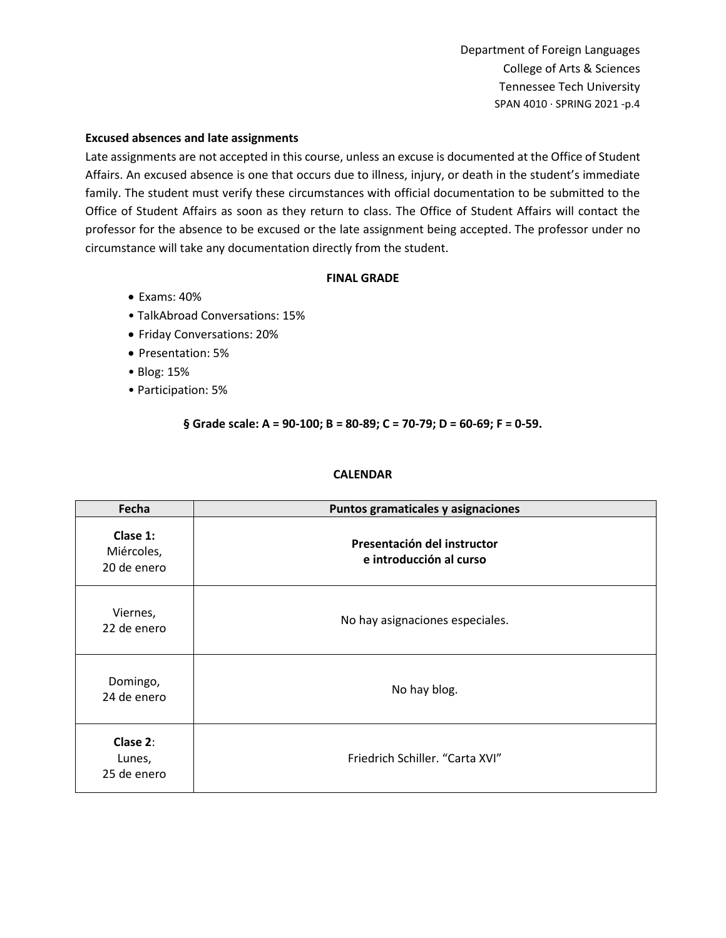#### **Excused absences and late assignments**

Late assignments are not accepted in this course, unless an excuse is documented at the Office of Student Affairs. An excused absence is one that occurs due to illness, injury, or death in the student's immediate family. The student must verify these circumstances with official documentation to be submitted to the Office of Student Affairs as soon as they return to class. The Office of Student Affairs will contact the professor for the absence to be excused or the late assignment being accepted. The professor under no circumstance will take any documentation directly from the student.

#### **FINAL GRADE**

- Exams: 40%
- TalkAbroad Conversations: 15%
- Friday Conversations: 20%
- Presentation: 5%
- Blog: 15%
- Participation: 5%

### **§ Grade scale: A = 90‐100; B = 80‐89; C = 70‐79; D = 60‐69; F = 0‐59.**

### **CALENDAR**

| Fecha                                 | Puntos gramaticales y asignaciones                     |
|---------------------------------------|--------------------------------------------------------|
| Clase 1:<br>Miércoles,<br>20 de enero | Presentación del instructor<br>e introducción al curso |
| Viernes,<br>22 de enero               | No hay asignaciones especiales.                        |
| Domingo,<br>24 de enero               | No hay blog.                                           |
| Clase 2:<br>Lunes,<br>25 de enero     | Friedrich Schiller. "Carta XVI"                        |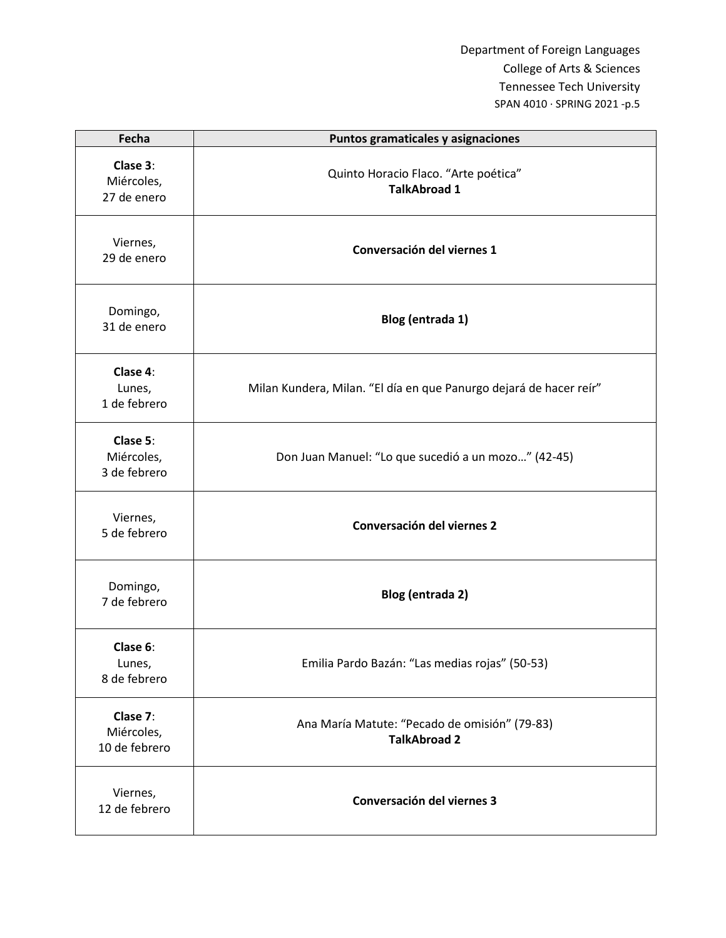| Fecha                                   | Puntos gramaticales y asignaciones                                   |
|-----------------------------------------|----------------------------------------------------------------------|
| Clase 3:<br>Miércoles,<br>27 de enero   | Quinto Horacio Flaco. "Arte poética"<br><b>TalkAbroad 1</b>          |
| Viernes,<br>29 de enero                 | Conversación del viernes 1                                           |
| Domingo,<br>31 de enero                 | Blog (entrada 1)                                                     |
| Clase 4:<br>Lunes,<br>1 de febrero      | Milan Kundera, Milan. "El día en que Panurgo dejará de hacer reír"   |
| Clase 5:<br>Miércoles,<br>3 de febrero  | Don Juan Manuel: "Lo que sucedió a un mozo" (42-45)                  |
| Viernes,<br>5 de febrero                | Conversación del viernes 2                                           |
| Domingo,<br>7 de febrero                | Blog (entrada 2)                                                     |
| Clase 6:<br>Lunes,<br>8 de febrero      | Emilia Pardo Bazán: "Las medias rojas" (50-53)                       |
| Clase 7:<br>Miércoles,<br>10 de febrero | Ana María Matute: "Pecado de omisión" (79-83)<br><b>TalkAbroad 2</b> |
| Viernes,<br>12 de febrero               | Conversación del viernes 3                                           |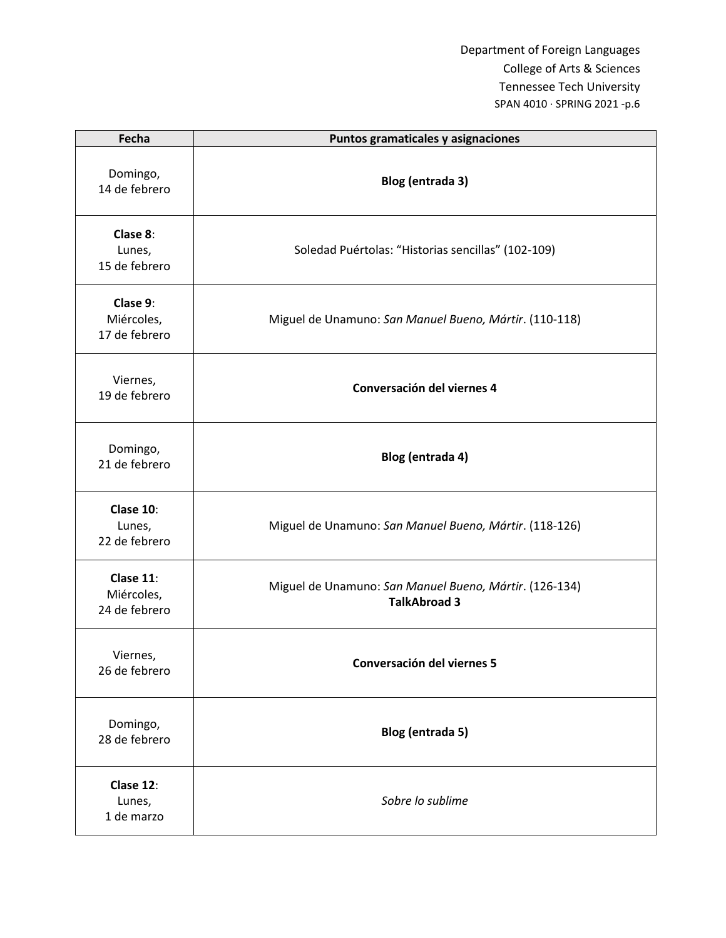| Fecha                                    | Puntos gramaticales y asignaciones                                            |
|------------------------------------------|-------------------------------------------------------------------------------|
| Domingo,<br>14 de febrero                | Blog (entrada 3)                                                              |
| Clase 8:<br>Lunes,<br>15 de febrero      | Soledad Puértolas: "Historias sencillas" (102-109)                            |
| Clase 9:<br>Miércoles,<br>17 de febrero  | Miguel de Unamuno: San Manuel Bueno, Mártir. (110-118)                        |
| Viernes,<br>19 de febrero                | Conversación del viernes 4                                                    |
| Domingo,<br>21 de febrero                | Blog (entrada 4)                                                              |
| Clase 10:<br>Lunes,<br>22 de febrero     | Miguel de Unamuno: San Manuel Bueno, Mártir. (118-126)                        |
| Clase 11:<br>Miércoles,<br>24 de febrero | Miguel de Unamuno: San Manuel Bueno, Mártir. (126-134)<br><b>TalkAbroad 3</b> |
| Viernes,<br>26 de febrero                | Conversación del viernes 5                                                    |
| Domingo,<br>28 de febrero                | Blog (entrada 5)                                                              |
| Clase 12:<br>Lunes,<br>1 de marzo        | Sobre lo sublime                                                              |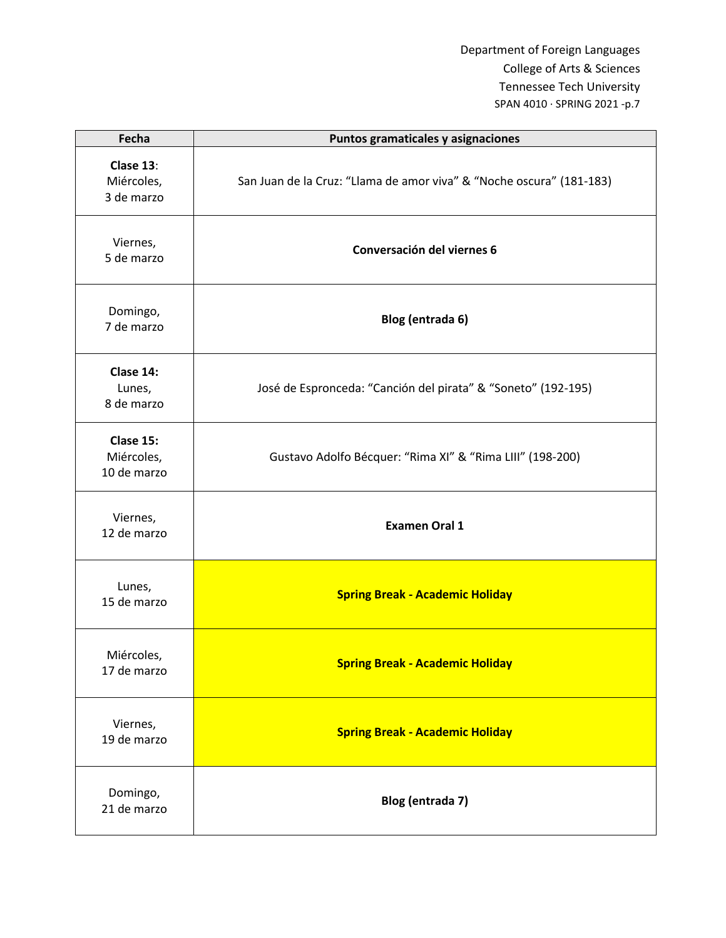| Fecha                                  | Puntos gramaticales y asignaciones                                   |
|----------------------------------------|----------------------------------------------------------------------|
| Clase 13:<br>Miércoles,<br>3 de marzo  | San Juan de la Cruz: "Llama de amor viva" & "Noche oscura" (181-183) |
| Viernes,<br>5 de marzo                 | Conversación del viernes 6                                           |
| Domingo,<br>7 de marzo                 | Blog (entrada 6)                                                     |
| Clase 14:<br>Lunes,<br>8 de marzo      | José de Espronceda: "Canción del pirata" & "Soneto" (192-195)        |
| Clase 15:<br>Miércoles,<br>10 de marzo | Gustavo Adolfo Bécquer: "Rima XI" & "Rima LIII" (198-200)            |
| Viernes,<br>12 de marzo                | <b>Examen Oral 1</b>                                                 |
| Lunes,<br>15 de marzo                  | <b>Spring Break - Academic Holiday</b>                               |
| Miércoles,<br>17 de marzo              | <b>Spring Break - Academic Holiday</b>                               |
| Viernes,<br>19 de marzo                | <b>Spring Break - Academic Holiday</b>                               |
| Domingo,<br>21 de marzo                | Blog (entrada 7)                                                     |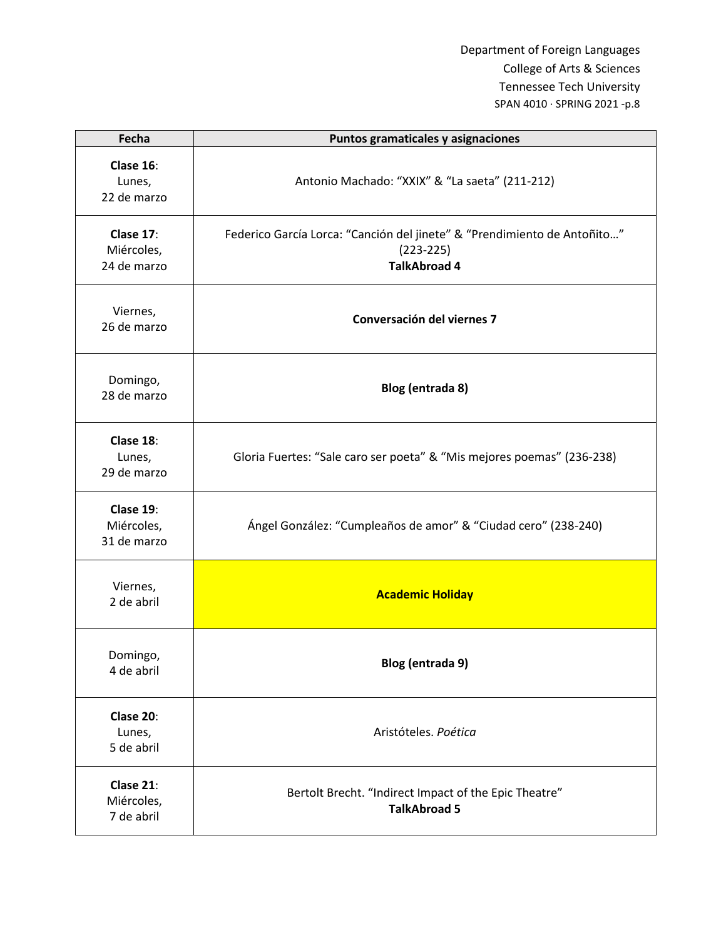| Fecha                                  | Puntos gramaticales y asignaciones                                                                             |
|----------------------------------------|----------------------------------------------------------------------------------------------------------------|
| Clase 16:<br>Lunes,<br>22 de marzo     | Antonio Machado: "XXIX" & "La saeta" (211-212)                                                                 |
| Clase 17:<br>Miércoles,<br>24 de marzo | Federico García Lorca: "Canción del jinete" & "Prendimiento de Antoñito"<br>$(223-225)$<br><b>TalkAbroad 4</b> |
| Viernes,<br>26 de marzo                | Conversación del viernes 7                                                                                     |
| Domingo,<br>28 de marzo                | Blog (entrada 8)                                                                                               |
| Clase 18:<br>Lunes,<br>29 de marzo     | Gloria Fuertes: "Sale caro ser poeta" & "Mis mejores poemas" (236-238)                                         |
| Clase 19:<br>Miércoles,<br>31 de marzo | Ángel González: "Cumpleaños de amor" & "Ciudad cero" (238-240)                                                 |
| Viernes,<br>2 de abril                 | <b>Academic Holiday</b>                                                                                        |
| Domingo,<br>4 de abril                 | Blog (entrada 9)                                                                                               |
| Clase 20:<br>Lunes,<br>5 de abril      | Aristóteles. Poética                                                                                           |
| Clase 21:<br>Miércoles,<br>7 de abril  | Bertolt Brecht. "Indirect Impact of the Epic Theatre"<br><b>TalkAbroad 5</b>                                   |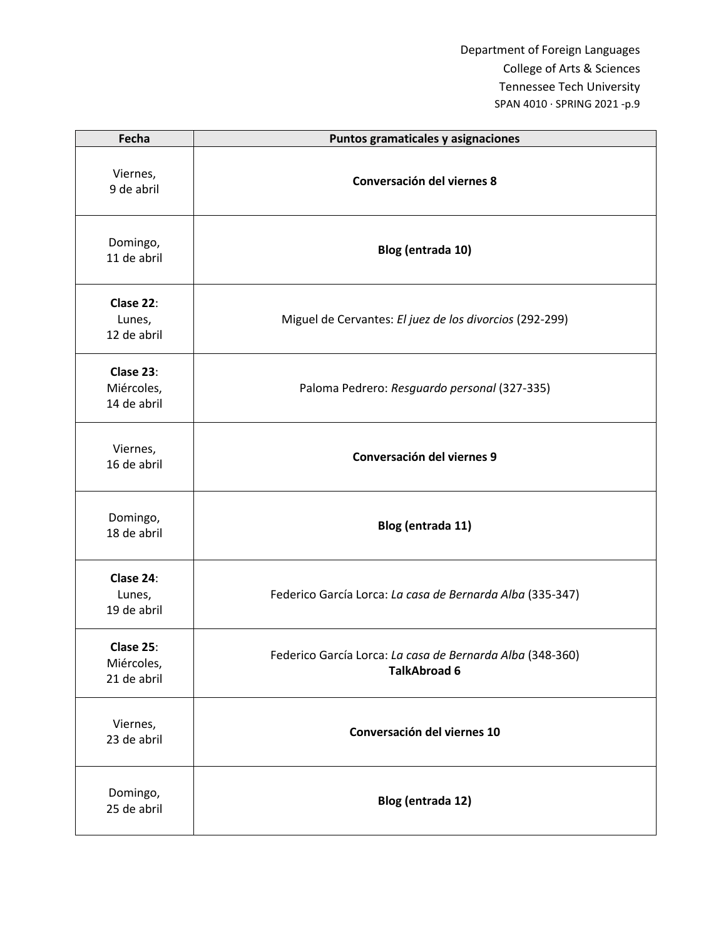| Fecha                                  | Puntos gramaticales y asignaciones                                               |
|----------------------------------------|----------------------------------------------------------------------------------|
| Viernes,<br>9 de abril                 | Conversación del viernes 8                                                       |
| Domingo,<br>11 de abril                | Blog (entrada 10)                                                                |
| Clase 22:<br>Lunes,<br>12 de abril     | Miguel de Cervantes: El juez de los divorcios (292-299)                          |
| Clase 23:<br>Miércoles,<br>14 de abril | Paloma Pedrero: Resguardo personal (327-335)                                     |
| Viernes,<br>16 de abril                | Conversación del viernes 9                                                       |
| Domingo,<br>18 de abril                | Blog (entrada 11)                                                                |
| Clase 24:<br>Lunes,<br>19 de abril     | Federico García Lorca: La casa de Bernarda Alba (335-347)                        |
| Clase 25:<br>Miércoles,<br>21 de abril | Federico García Lorca: La casa de Bernarda Alba (348-360)<br><b>TalkAbroad 6</b> |
| Viernes,<br>23 de abril                | Conversación del viernes 10                                                      |
| Domingo,<br>25 de abril                | Blog (entrada 12)                                                                |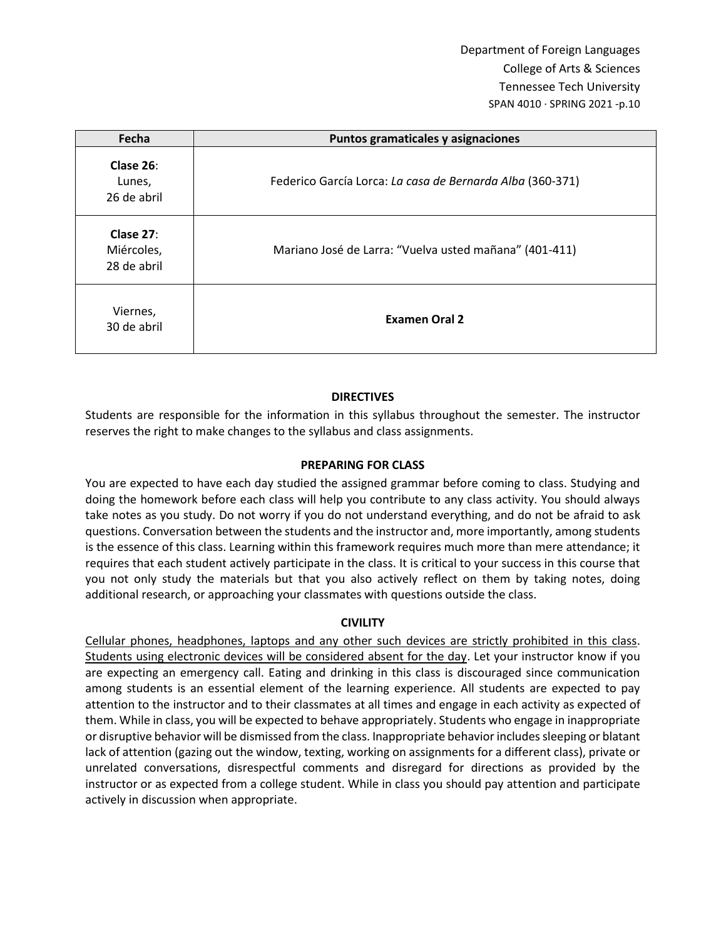| Fecha                                     | Puntos gramaticales y asignaciones                        |
|-------------------------------------------|-----------------------------------------------------------|
| Clase 26:<br>Lunes,<br>26 de abril        | Federico García Lorca: La casa de Bernarda Alba (360-371) |
| Clase $27$ :<br>Miércoles,<br>28 de abril | Mariano José de Larra: "Vuelva usted mañana" (401-411)    |
| Viernes,<br>30 de abril                   | <b>Examen Oral 2</b>                                      |

## **DIRECTIVES**

Students are responsible for the information in this syllabus throughout the semester. The instructor reserves the right to make changes to the syllabus and class assignments.

### **PREPARING FOR CLASS**

You are expected to have each day studied the assigned grammar before coming to class. Studying and doing the homework before each class will help you contribute to any class activity. You should always take notes as you study. Do not worry if you do not understand everything, and do not be afraid to ask questions. Conversation between the students and the instructor and, more importantly, among students is the essence of this class. Learning within this framework requires much more than mere attendance; it requires that each student actively participate in the class. It is critical to your success in this course that you not only study the materials but that you also actively reflect on them by taking notes, doing additional research, or approaching your classmates with questions outside the class.

### **CIVILITY**

Cellular phones, headphones, laptops and any other such devices are strictly prohibited in this class. Students using electronic devices will be considered absent for the day. Let your instructor know if you are expecting an emergency call. Eating and drinking in this class is discouraged since communication among students is an essential element of the learning experience. All students are expected to pay attention to the instructor and to their classmates at all times and engage in each activity as expected of them. While in class, you will be expected to behave appropriately. Students who engage in inappropriate or disruptive behavior will be dismissed from the class. Inappropriate behavior includes sleeping or blatant lack of attention (gazing out the window, texting, working on assignments for a different class), private or unrelated conversations, disrespectful comments and disregard for directions as provided by the instructor or as expected from a college student. While in class you should pay attention and participate actively in discussion when appropriate.